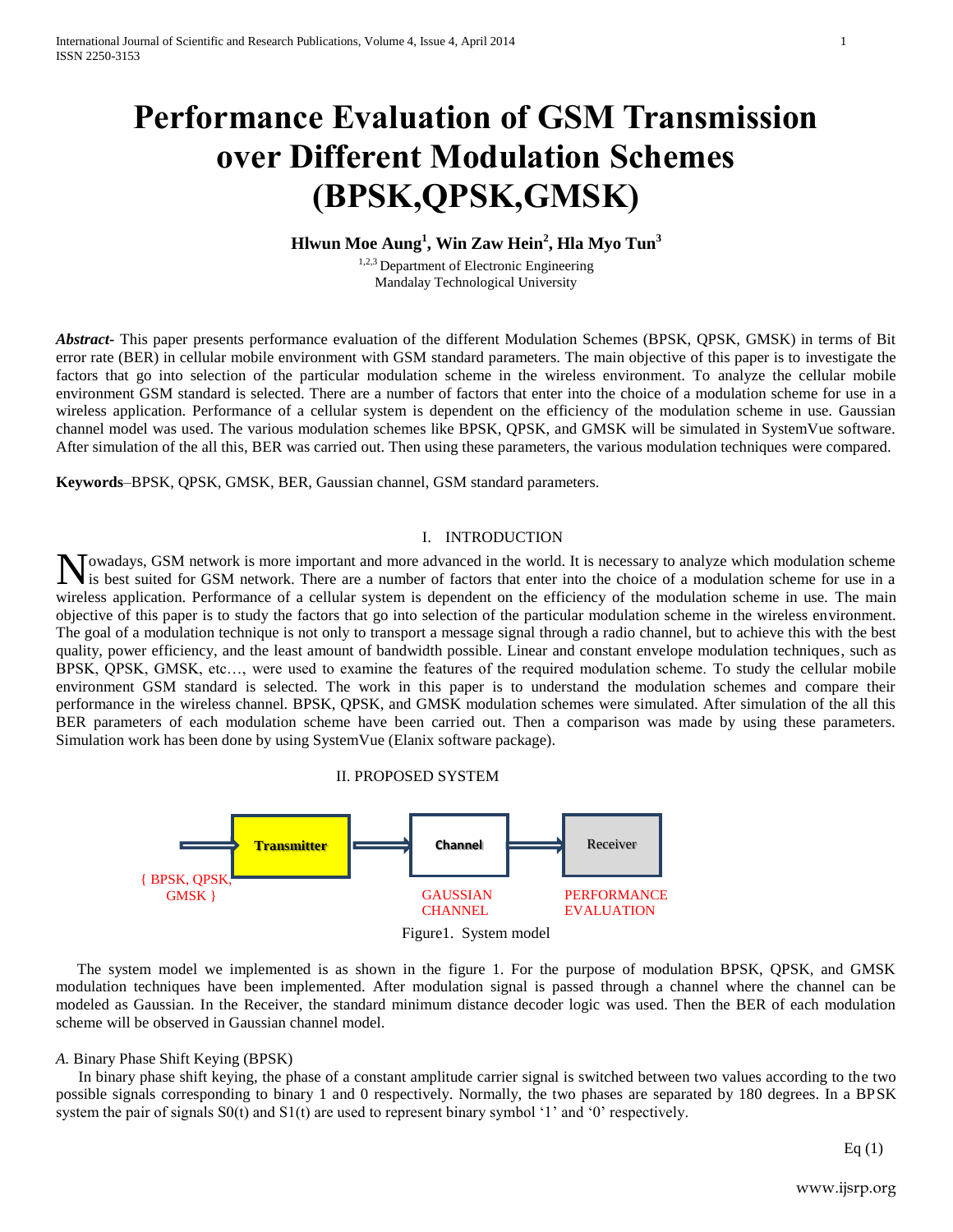# **Performance Evaluation of GSM Transmission over Different Modulation Schemes (BPSK,QPSK,GMSK)**

## **Hlwun Moe Aung<sup>1</sup> , Win Zaw Hein<sup>2</sup> , Hla Myo Tun<sup>3</sup>**

<sup>1,2,3</sup> Department of Electronic Engineering Mandalay Technological University

*Abstract***-** This paper presents performance evaluation of the different Modulation Schemes (BPSK, QPSK, GMSK) in terms of Bit error rate (BER) in cellular mobile environment with GSM standard parameters. The main objective of this paper is to investigate the factors that go into selection of the particular modulation scheme in the wireless environment. To analyze the cellular mobile environment GSM standard is selected. There are a number of factors that enter into the choice of a modulation scheme for use in a wireless application. Performance of a cellular system is dependent on the efficiency of the modulation scheme in use. Gaussian channel model was used. The various modulation schemes like BPSK, QPSK, and GMSK will be simulated in SystemVue software. After simulation of the all this, BER was carried out. Then using these parameters, the various modulation techniques were compared.

**Keywords***–*BPSK, QPSK, GMSK, BER, Gaussian channel, GSM standard parameters.

## I. INTRODUCTION

owadays, GSM network is more important and more advanced in the world. It is necessary to analyze which modulation scheme Nowadays, GSM network is more important and more advanced in the world. It is necessary to analyze which modulation scheme for use in a single set suited for GSM network. There are a number of factors that enter into the c wireless application. Performance of a cellular system is dependent on the efficiency of the modulation scheme in use. The main objective of this paper is to study the factors that go into selection of the particular modulation scheme in the wireless environment. The goal of a modulation technique is not only to transport a message signal through a radio channel, but to achieve this with the best quality, power efficiency, and the least amount of bandwidth possible. Linear and constant envelope modulation techniques, such as BPSK, QPSK, GMSK, etc…, were used to examine the features of the required modulation scheme. To study the cellular mobile environment GSM standard is selected. The work in this paper is to understand the modulation schemes and compare their performance in the wireless channel. BPSK, QPSK, and GMSK modulation schemes were simulated. After simulation of the all this BER parameters of each modulation scheme have been carried out. Then a comparison was made by using these parameters. Simulation work has been done by using SystemVue (Elanix software package).

## II. PROPOSED SYSTEM



The system model we implemented is as shown in the figure 1. For the purpose of modulation BPSK, QPSK, and GMSK modulation techniques have been implemented. After modulation signal is passed through a channel where the channel can be modeled as Gaussian. In the Receiver, the standard minimum distance decoder logic was used. Then the BER of each modulation scheme will be observed in Gaussian channel model.

#### *A.* Binary Phase Shift Keying (BPSK)

In binary phase shift keying, the phase of a constant amplitude carrier signal is switched between two values according to the two possible signals corresponding to binary 1 and 0 respectively. Normally, the two phases are separated by 180 degrees. In a BPSK system the pair of signals  $S0(t)$  and  $S1(t)$  are used to represent binary symbol '1' and '0' respectively.

Eq $(1)$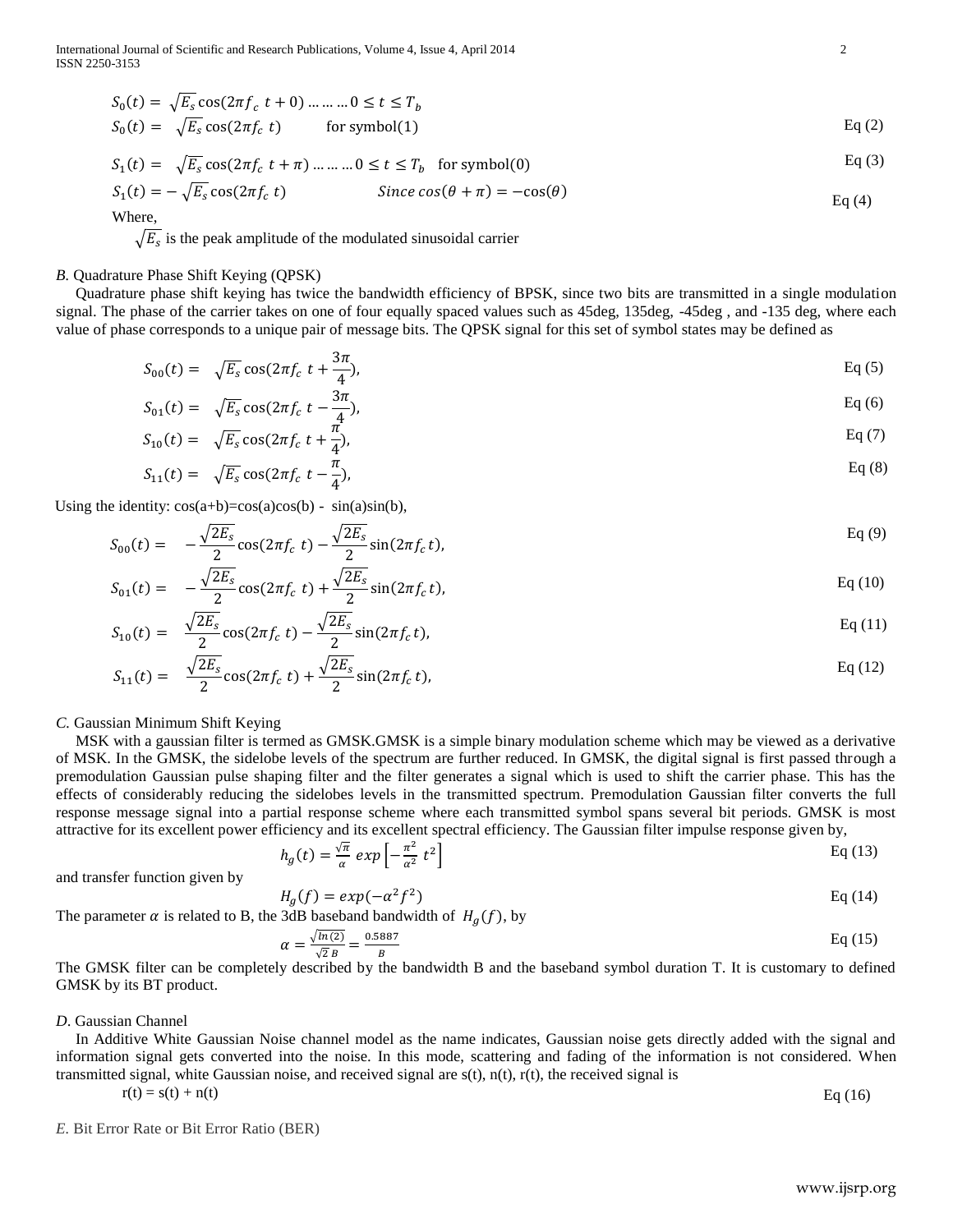International Journal of Scientific and Research Publications, Volume 4, Issue 4, April 2014 2 ISSN 2250-3153

$$
S_0(t) = \sqrt{E_s} \cos(2\pi f_c t + 0) \dots \dots \dots 0 \le t \le T_b
$$
  
\n
$$
S_0(t) = \sqrt{E_s} \cos(2\pi f_c t) \qquad \text{for symbol}(1)
$$
  
\nEq (2)

$$
S_1(t) = \sqrt{E_s} \cos(2\pi f_c t + \pi) \dots \dots \dots 0 \le t \le T_b \quad \text{for symbol}(0)
$$
 Eq (3)

$$
S_1(t) = -\sqrt{E_s} \cos(2\pi f_c \ t) \qquad \text{Since } \cos(\theta + \pi) = -\cos(\theta) \qquad \text{Eq (4)}
$$

Where,

 $\sqrt{E_s}$  is the peak amplitude of the modulated sinusoidal carrier

### *B.* Quadrature Phase Shift Keying (QPSK)

 Quadrature phase shift keying has twice the bandwidth efficiency of BPSK, since two bits are transmitted in a single modulation signal. The phase of the carrier takes on one of four equally spaced values such as 45deg, 135deg, -45deg , and -135 deg, where each value of phase corresponds to a unique pair of message bits. The QPSK signal for this set of symbol states may be defined as

$$
S_{00}(t) = \sqrt{E_s} \cos(2\pi f_c \ t + \frac{3\pi}{4}), \qquad \text{Eq (5)}
$$

$$
S_{01}(t) = \sqrt{E_s} \cos(2\pi f_c t - \frac{3\pi}{4}), \qquad \text{Eq (6)}
$$

$$
S_{10}(t) = \sqrt{E_s} \cos(2\pi f_c t + \frac{\pi^2}{4}), \qquad \text{Eq (7)}
$$

$$
S_{11}(t) = \sqrt{E_s} \cos(2\pi f_c t - \frac{\pi}{4}), \qquad \text{Eq (8)}
$$

Using the identity:  $cos(a+b)=cos(a)cos(b) - sin(a)sin(b)$ ,

$$
S_{00}(t) = -\frac{\sqrt{2E_s}}{2}\cos(2\pi f_c t) - \frac{\sqrt{2E_s}}{2}\sin(2\pi f_c t),
$$
 Eq (9)

$$
S_{01}(t) = -\frac{\sqrt{2E_s}}{2}\cos(2\pi f_c t) + \frac{\sqrt{2E_s}}{2}\sin(2\pi f_c t),
$$
 Eq (10)

$$
S_{10}(t) = \frac{\sqrt{2E_s}}{2} \cos(2\pi f_c t) - \frac{\sqrt{2E_s}}{2} \sin(2\pi f_c t),
$$
 Eq (11)

$$
S_{11}(t) = \frac{\sqrt{2E_s}}{2} \cos(2\pi f_c t) + \frac{\sqrt{2E_s}}{2} \sin(2\pi f_c t),
$$
 Eq (12)

*C.* Gaussian Minimum Shift Keying

 MSK with a gaussian filter is termed as GMSK.GMSK is a simple binary modulation scheme which may be viewed as a derivative of MSK. In the GMSK, the sidelobe levels of the spectrum are further reduced. In GMSK, the digital signal is first passed through a premodulation Gaussian pulse shaping filter and the filter generates a signal which is used to shift the carrier phase. This has the effects of considerably reducing the sidelobes levels in the transmitted spectrum. Premodulation Gaussian filter converts the full response message signal into a partial response scheme where each transmitted symbol spans several bit periods. GMSK is most attractive for its excellent power efficiency and its excellent spectral efficiency. The Gaussian filter impulse response given by,

$$
h_g(t) = \frac{\sqrt{\pi}}{\alpha} \exp\left[-\frac{\pi^2}{\alpha^2} t^2\right]
$$
 Eq (13)

and transfer function given by

$$
H_a(f) = exp(-\alpha^2 f^2)
$$
 Eq (14)

The parameter  $\alpha$  is related to B, the 3dB baseband bandwidth of  $H_{\alpha}(f)$ , by

$$
\alpha = \frac{\sqrt{\ln(2)}}{\sqrt{2}B} = \frac{0.5887}{B}
$$
 Eq (15)

The GMSK filter can be completely described by the bandwidth B and the baseband symbol duration T. It is customary to defined GMSK by its BT product.

#### *D*. Gaussian Channel

 In Additive White Gaussian Noise channel model as the name indicates, Gaussian noise gets directly added with the signal and information signal gets converted into the noise. In this mode, scattering and fading of the information is not considered. When transmitted signal, white Gaussian noise, and received signal are  $s(t)$ ,  $n(t)$ ,  $r(t)$ , the received signal is

$$
r(t) = s(t) + n(t) \tag{Eq (16)}
$$

*E.* Bit Error Rate or Bit Error Ratio (BER)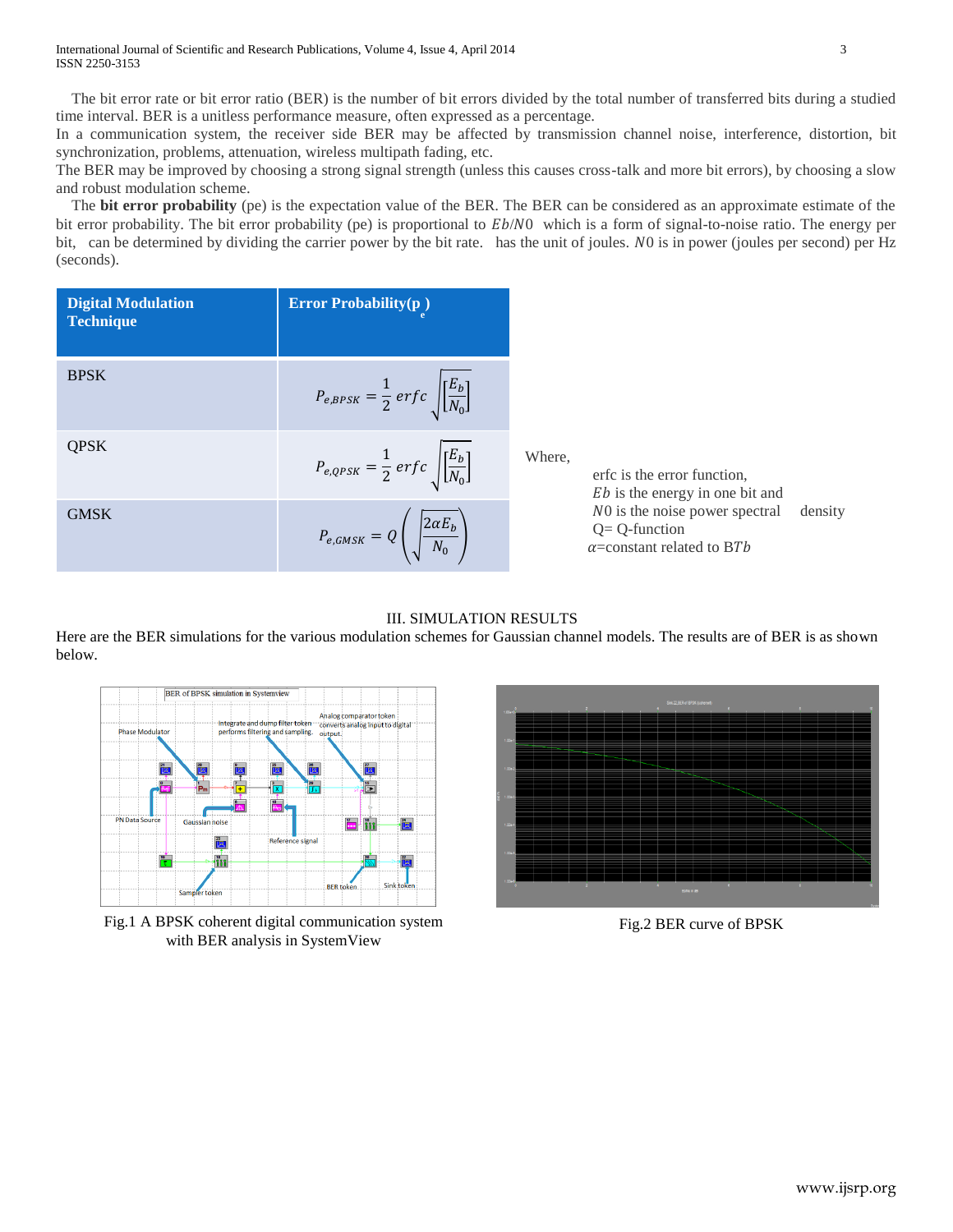The bit error rate or bit error ratio (BER) is the number of bit errors divided by the total number of transferred bits during a studied time interval. BER is a unitless performance measure, often expressed as a percentage.

In a communication system, the receiver side BER may be affected by transmission channel noise, interference, distortion, bit synchronization, problems, attenuation, wireless multipath fading, etc.

The BER may be improved by choosing a strong signal strength (unless this causes cross-talk and more bit errors), by choosing a slow and robust modulation scheme.

 The **bit error probability** (pe) is the expectation value of the BER. The BER can be considered as an approximate estimate of the bit error probability. The bit error probability (pe) is proportional to  $Eb/N0$  which is a form of signal-to-noise ratio. The energy per bit, can be determined by dividing the carrier power by the bit rate. has the unit of joules. NO is in power (joules per second) per Hz (seconds).

| <b>Digital Modulation</b><br><b>Technique</b> | <b>Error Probability(p)</b>                                          |                                                                                                     |
|-----------------------------------------------|----------------------------------------------------------------------|-----------------------------------------------------------------------------------------------------|
| <b>BPSK</b>                                   | $P_{e,BPSK} = \frac{1}{2} erfc \sqrt{\left[\frac{E_b}{N_0}\right]}$  |                                                                                                     |
| <b>QPSK</b>                                   | $P_{e,QPSK} = \frac{1}{2} erf c \sqrt{\left \frac{E_b}{N_0}\right }$ | Where,<br>erfc is the error function.<br><i>Eb</i> is the energy in one bit and                     |
| <b>GMSK</b>                                   | $P_{e,GMSK} = Q\left(\sqrt{\frac{2\alpha E_b}{N_0}}\right)$          | NO is the noise power spectral<br>density<br>$Q = Q$ -function<br>$\alpha$ =constant related to BTb |

III. SIMULATION RESULTS

Here are the BER simulations for the various modulation schemes for Gaussian channel models. The results are of BER is as shown below.



Fig.1 A BPSK coherent digital communication system with BER analysis in SystemView



Fig.2 BER curve of BPSK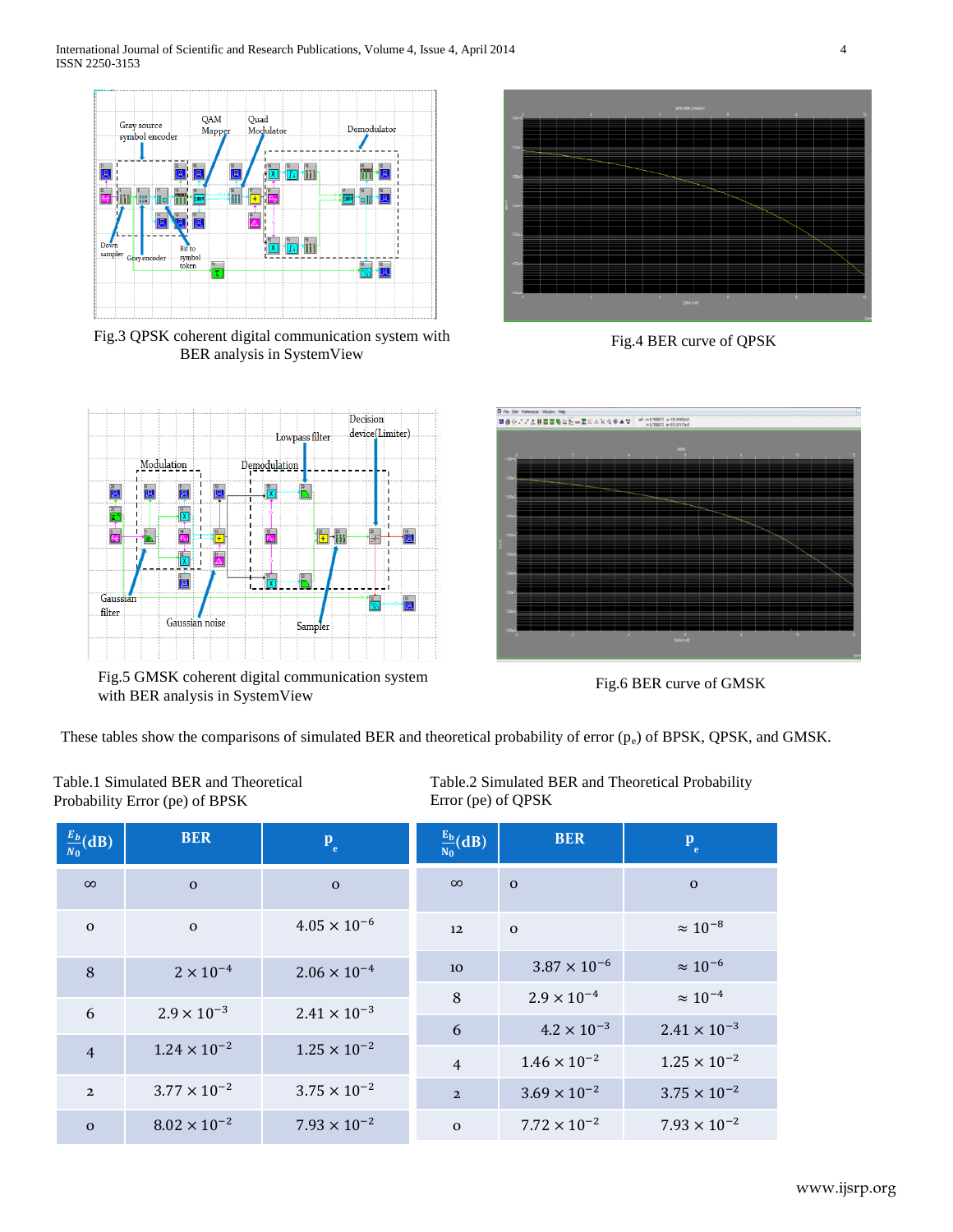

Fig.3 QPSK coherent digital communication system with Fig.4 BER curve of QPSK BER analysis in SystemView



Fig.5 GMSK coherent digital communication system with BER analysis in SystemView





Fig.6 BER curve of GMSK

These tables show the comparisons of simulated BER and theoretical probability of error  $(p_e)$  of BPSK, QPSK, and GMSK.

Table.1 Simulated BER and Theoretical Probability Error (pe) of BPSK

Table.2 Simulated BER and Theoretical Probability Error (pe) of QPSK

| $rac{E_b}{N_0}$ (dB) | <b>BER</b>            | $P_e$                 | $\frac{E_b}{N_0}(dB)$ | <b>BER</b>            | $P_e$                 |
|----------------------|-----------------------|-----------------------|-----------------------|-----------------------|-----------------------|
| $\infty$             | $\mathbf{o}$          | $\mathbf{o}$          | $\infty$              | $\mathbf{o}$          | $\mathbf{o}$          |
| $\mathbf{o}$         | $\mathbf{O}$          | $4.05 \times 10^{-6}$ | 12                    | $\Omega$              | $\approx 10^{-8}$     |
| 8                    | $2 \times 10^{-4}$    | $2.06 \times 10^{-4}$ | <b>10</b>             | $3.87 \times 10^{-6}$ | $\approx 10^{-6}$     |
|                      | $2.9 \times 10^{-3}$  | $2.41 \times 10^{-3}$ | 8                     | $2.9 \times 10^{-4}$  | $\approx 10^{-4}$     |
| 6                    |                       |                       | 6                     | $4.2 \times 10^{-3}$  | $2.41 \times 10^{-3}$ |
| $\overline{4}$       | $1.24 \times 10^{-2}$ | $1.25 \times 10^{-2}$ | $\overline{4}$        | $1.46 \times 10^{-2}$ | $1.25 \times 10^{-2}$ |
| $\overline{2}$       | $3.77 \times 10^{-2}$ | $3.75 \times 10^{-2}$ | $\overline{2}$        | $3.69 \times 10^{-2}$ | $3.75 \times 10^{-2}$ |
| $\mathbf{o}$         | $8.02 \times 10^{-2}$ | $7.93 \times 10^{-2}$ | $\mathbf{O}$          | $7.72 \times 10^{-2}$ | $7.93 \times 10^{-2}$ |